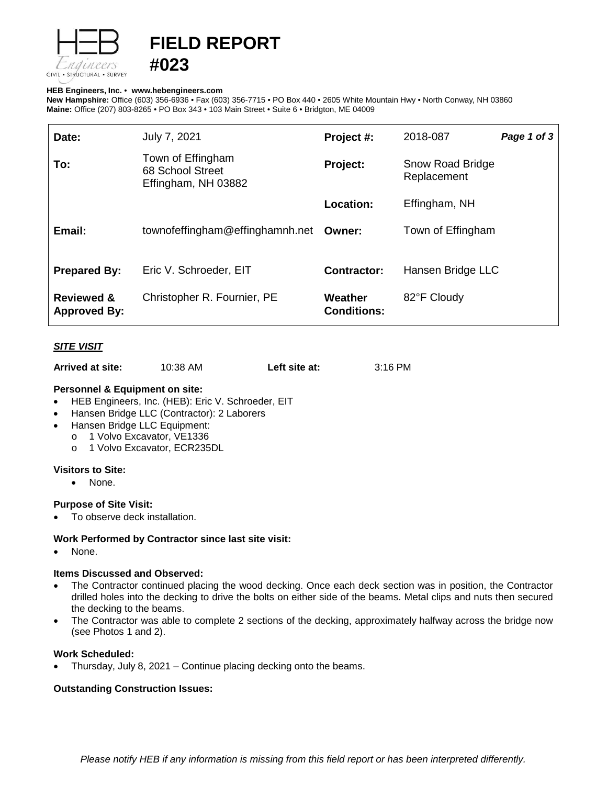

# **FIELD REPORT**

#### **HEB Engineers, Inc.** • **[www.hebengineer](http://www.hebengineers.com/)s.com**

**#023**

**New Hampshire:** Office (603) 356-6936 • Fax (603) 356-7715 • PO Box 440 • 2605 White Mountain Hwy • North Conway, NH 03860 **Maine:** Office (207) 803-8265 • PO Box 343 • 103 Main Street • Suite 6 • Bridgton, ME 04009

| Date:                                        | July 7, 2021                                                 | Project #:                    | 2018-087                               | Page 1 of 3 |
|----------------------------------------------|--------------------------------------------------------------|-------------------------------|----------------------------------------|-------------|
| To:                                          | Town of Effingham<br>68 School Street<br>Effingham, NH 03882 | Project:                      | <b>Snow Road Bridge</b><br>Replacement |             |
|                                              |                                                              | Location:                     | Effingham, NH                          |             |
| Email:                                       | townofeffingham@effinghamnh.net                              | Owner:                        | Town of Effingham                      |             |
| <b>Prepared By:</b>                          | Eric V. Schroeder, EIT                                       | <b>Contractor:</b>            | Hansen Bridge LLC                      |             |
| <b>Reviewed &amp;</b><br><b>Approved By:</b> | Christopher R. Fournier, PE                                  | Weather<br><b>Conditions:</b> | 82°F Cloudy                            |             |

## *SITE VISIT*

| Arrived at site: | 10:38 AM | Left site at: | 3:16 PM |
|------------------|----------|---------------|---------|
|------------------|----------|---------------|---------|

## **Personnel & Equipment on site:**

- HEB Engineers, Inc. (HEB): Eric V. Schroeder, EIT
- Hansen Bridge LLC (Contractor): 2 Laborers
- Hansen Bridge LLC Equipment:
	- o 1 Volvo Excavator, VE1336<br>o 1 Volvo Excavator, ECR235
		- 1 Volvo Excavator, ECR235DL

### **Visitors to Site:**

• None.

#### **Purpose of Site Visit:**

To observe deck installation.

#### **Work Performed by Contractor since last site visit:**

• None.

#### **Items Discussed and Observed:**

- The Contractor continued placing the wood decking. Once each deck section was in position, the Contractor drilled holes into the decking to drive the bolts on either side of the beams. Metal clips and nuts then secured the decking to the beams.
- The Contractor was able to complete 2 sections of the decking, approximately halfway across the bridge now (see Photos 1 and 2).

#### **Work Scheduled:**

• Thursday, July 8, 2021 – Continue placing decking onto the beams.

## **Outstanding Construction Issues:**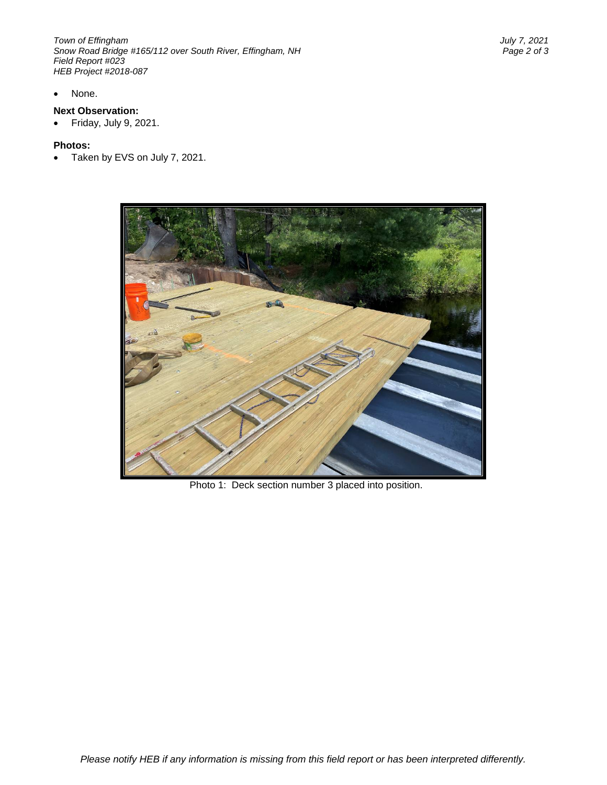*Town of Effingham July 7, 2021 Snow Road Bridge #165/112 over South River, Effingham, NH Field Report #023 HEB Project #2018-087*

None.

## **Next Observation:**

• Friday, July 9, 2021.

#### **Photos:**

• Taken by EVS on July 7, 2021.



Photo 1: Deck section number 3 placed into position.